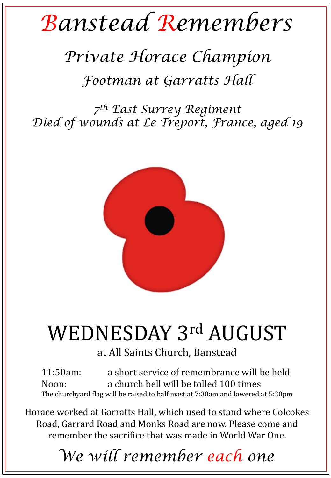## *Banstead Remembers*

## *Private Horace Champion*

*Footman at Garratts Hall*

*7 th East Surrey Regiment Died of wounds at Le Treport, France, aged 19*



## WEDNESDAY 3rd AUGUST

at All Saints Church, Banstead

11:50am: a short service of remembrance will be held Noon: a church bell will be tolled 100 times The churchyard flag will be raised to half mast at 7:30am and lowered at 5:30pm

Horace worked at Garratts Hall, which used to stand where Colcokes Road, Garrard Road and Monks Road are now. Please come and remember the sacrifice that was made in World War One.

*We will remember each one*